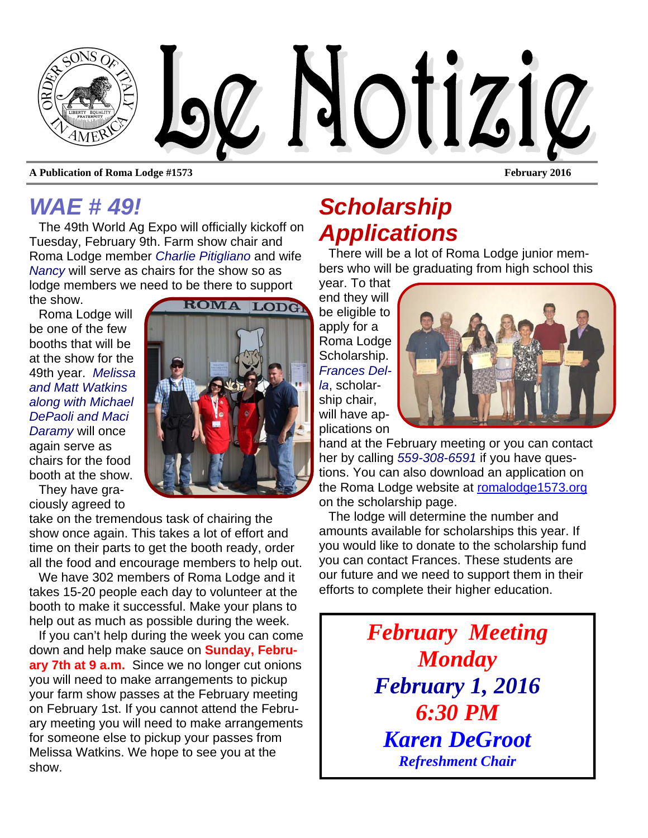

**A Publication of Roma Lodge #1573** February 2016

## *WAE # 49!*

The 49th World Ag Expo will officially kickoff on Tuesday, February 9th. Farm show chair and Roma Lodge member *Charlie Pitigliano* and wife *Nancy* will serve as chairs for the show so as lodge members we need to be there to support the show.

Roma Lodge will be one of the few booths that will be at the show for the 49th year. *Melissa and Matt Watkins along with Michael DePaoli and Maci Daramy* will once again serve as chairs for the food booth at the show.

They have graciously agreed to

take on the tremendous task of chairing the show once again. This takes a lot of effort and time on their parts to get the booth ready, order all the food and encourage members to help out.

We have 302 members of Roma Lodge and it takes 15-20 people each day to volunteer at the booth to make it successful. Make your plans to help out as much as possible during the week.

If you can't help during the week you can come down and help make sauce on **Sunday, February 7th at 9 a.m.** Since we no longer cut onions you will need to make arrangements to pickup your farm show passes at the February meeting on February 1st. If you cannot attend the February meeting you will need to make arrangements for someone else to pickup your passes from Melissa Watkins. We hope to see you at the show.

# *Scholarship Applications*

There will be a lot of Roma Lodge junior members who will be graduating from high school this

year. To that end they will be eligible to apply for a Roma Lodge Scholarship. *Frances Della*, scholarship chair, will have applications on



hand at the February meeting or you can contact her by calling *559-308-6591* if you have questions. You can also download an application on the Roma Lodge website at romalodge1573.org on the scholarship page.

The lodge will determine the number and amounts available for scholarships this year. If you would like to donate to the scholarship fund you can contact Frances. These students are our future and we need to support them in their efforts to complete their higher education.

> *February Meeting Monday February 1, 2016 6:30 PM Karen DeGroot Refreshment Chair*

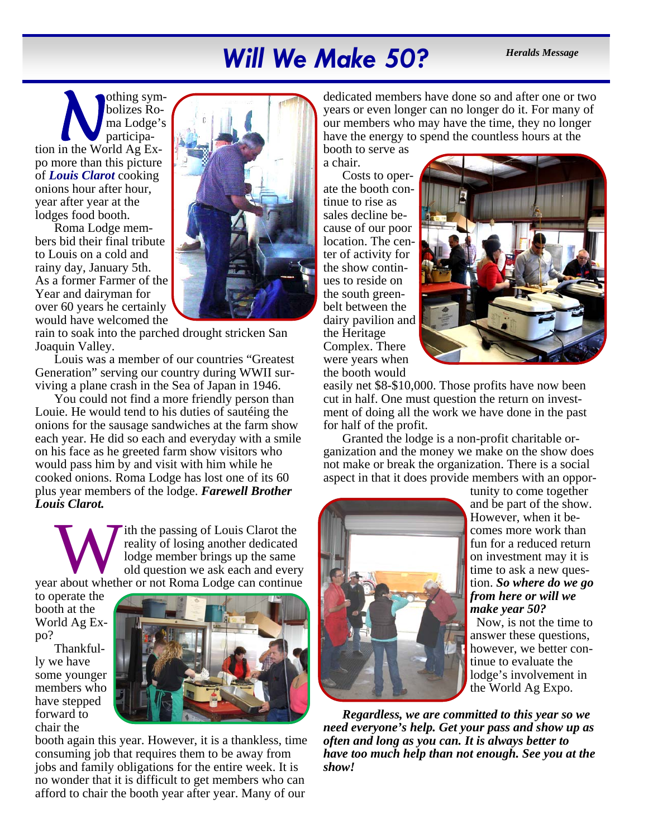# Will We Make 50? *Heralds Message*

**N** *symbolizes* Roma Lodge's participation in the World Ag Exbolizes Roma Lodge's participapo more than this picture of *Louis Clarot* cooking onions hour after hour, year after year at the lodges food booth.

Roma Lodge members bid their final tribute to Louis on a cold and rainy day, January 5th. As a former Farmer of the Year and dairyman for over 60 years he certainly would have welcomed the



rain to soak into the parched drought stricken San Joaquin Valley.

Louis was a member of our countries "Greatest Generation" serving our country during WWII surviving a plane crash in the Sea of Japan in 1946.

You could not find a more friendly person than Louie. He would tend to his duties of sautéing the onions for the sausage sandwiches at the farm show each year. He did so each and everyday with a smile on his face as he greeted farm show visitors who would pass him by and visit with him while he cooked onions. Roma Lodge has lost one of its 60 plus year members of the lodge. *Farewell Brother Louis Clarot.* 

W ith the passing of Louis Clarot the reality of losing another dedicated lodge member brings up the same old question we ask each and every year about whether or not Roma Lodge can continue reality of losing another dedicated lodge member brings up the same old question we ask each and every

to operate the booth at the World Ag Expo?

Thankfully we have some younger members who have stepped forward to chair the



booth again this year. However, it is a thankless, time consuming job that requires them to be away from jobs and family obligations for the entire week. It is no wonder that it is difficult to get members who can afford to chair the booth year after year. Many of our

dedicated members have done so and after one or two years or even longer can no longer do it. For many of our members who may have the time, they no longer have the energy to spend the countless hours at the

booth to serve as a chair.

Costs to operate the booth continue to rise as sales decline because of our poor location. The center of activity for the show continues to reside on the south greenbelt between the dairy pavilion and the Heritage Complex. There were years when the booth would



easily net \$8-\$10,000. Those profits have now been cut in half. One must question the return on investment of doing all the work we have done in the past for half of the profit.

Granted the lodge is a non-profit charitable organization and the money we make on the show does not make or break the organization. There is a social aspect in that it does provide members with an oppor-



tunity to come together and be part of the show. However, when it becomes more work than fun for a reduced return on investment may it is time to ask a new question. *So where do we go from here or will we make year 50?* 

Now, is not the time to answer these questions, however, we better continue to evaluate the lodge's involvement in the World Ag Expo.

*Regardless, we are committed to this year so we need everyone's help. Get your pass and show up as often and long as you can. It is always better to have too much help than not enough. See you at the show!*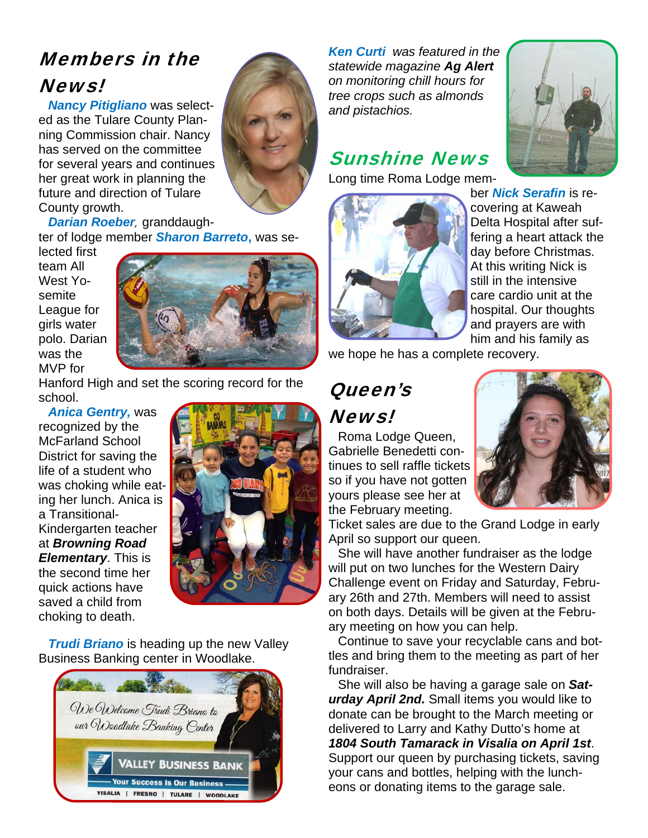## Members in the News!

*Nancy Pitigliano* was selected as the Tulare County Planning Commission chair. Nancy has served on the committee for several years and continues her great work in planning the future and direction of Tulare County growth.

*Darian Roeber*, granddaughter of lodge member *Sharon Barreto***,** was se-

lected first team All West Yosemite League for girls water polo. Darian was the MVP for



Hanford High and set the scoring record for the school.

*Anica Gentry,* was recognized by the McFarland School District for saving the life of a student who was choking while eating her lunch. Anica is a Transitional-Kindergarten teacher at *Browning Road Elementary*. This is the second time her quick actions have saved a child from choking to death.



*Trudi Briano* is heading up the new Valley Business Banking center in Woodlake.



*Ken Curti was featured in the statewide magazine Ag Alert on monitoring chill hours for tree crops such as almonds and pistachios.* 

## Sunshine News

Long time Roma Lodge mem-





ber *Nick Serafin* is recovering at Kaweah Delta Hospital after suffering a heart attack the day before Christmas. At this writing Nick is still in the intensive care cardio unit at the hospital. Our thoughts and prayers are with him and his family as

we hope he has a complete recovery.

# Queen's News!

Roma Lodge Queen, Gabrielle Benedetti continues to sell raffle tickets so if you have not gotten yours please see her at the February meeting.



Ticket sales are due to the Grand Lodge in early April so support our queen.

She will have another fundraiser as the lodge will put on two lunches for the Western Dairy Challenge event on Friday and Saturday, February 26th and 27th. Members will need to assist on both days. Details will be given at the February meeting on how you can help.

Continue to save your recyclable cans and bottles and bring them to the meeting as part of her fundraiser.

She will also be having a garage sale on *Saturday April 2nd.* Small items you would like to donate can be brought to the March meeting or delivered to Larry and Kathy Dutto's home at *1804 South Tamarack in Visalia on April 1st*. Support our queen by purchasing tickets, saving your cans and bottles, helping with the luncheons or donating items to the garage sale.